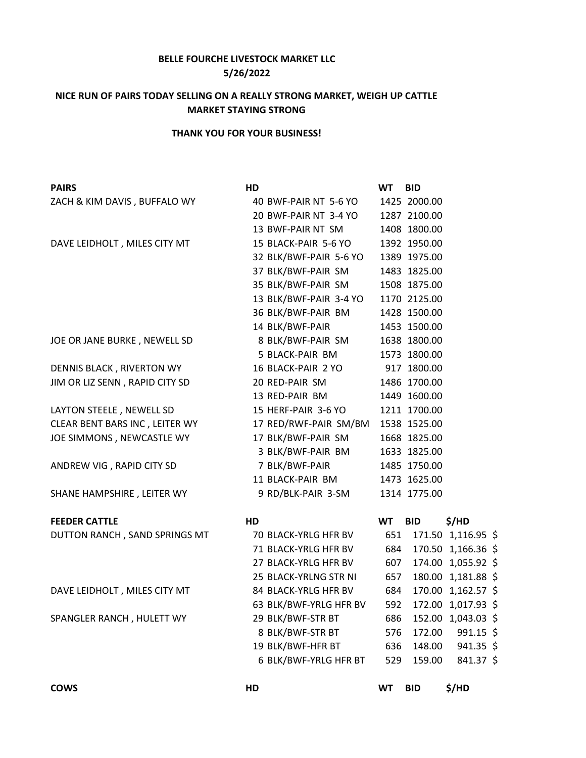## **BELLE FOURCHE LIVESTOCK MARKET LLC 5/26/2022**

## **NICE RUN OF PAIRS TODAY SELLING ON A REALLY STRONG MARKET, WEIGH UP CATTLE MARKET STAYING STRONG**

## **THANK YOU FOR YOUR BUSINESS!**

| <b>PAIRS</b>                   | HD |                                | <b>WT</b> | <b>BID</b>   |                    |  |
|--------------------------------|----|--------------------------------|-----------|--------------|--------------------|--|
| ZACH & KIM DAVIS, BUFFALO WY   |    | 40 BWF-PAIR NT 5-6 YO          |           | 1425 2000.00 |                    |  |
|                                |    | 20 BWF-PAIR NT 3-4 YO          |           | 1287 2100.00 |                    |  |
|                                |    | 13 BWF-PAIR NT SM              |           | 1408 1800.00 |                    |  |
| DAVE LEIDHOLT, MILES CITY MT   |    | 15 BLACK-PAIR 5-6 YO           |           | 1392 1950.00 |                    |  |
|                                |    | 32 BLK/BWF-PAIR 5-6 YO         |           | 1389 1975.00 |                    |  |
|                                |    | 37 BLK/BWF-PAIR SM             |           | 1483 1825.00 |                    |  |
|                                |    | 35 BLK/BWF-PAIR SM             |           | 1508 1875.00 |                    |  |
|                                |    | 13 BLK/BWF-PAIR 3-4 YO         |           | 1170 2125.00 |                    |  |
|                                |    | 36 BLK/BWF-PAIR BM             |           | 1428 1500.00 |                    |  |
|                                |    | 14 BLK/BWF-PAIR                |           | 1453 1500.00 |                    |  |
| JOE OR JANE BURKE, NEWELL SD   |    | 8 BLK/BWF-PAIR SM              |           | 1638 1800.00 |                    |  |
|                                |    | 5 BLACK-PAIR BM                |           | 1573 1800.00 |                    |  |
| DENNIS BLACK, RIVERTON WY      |    | 16 BLACK-PAIR 2 YO 917 1800.00 |           |              |                    |  |
| JIM OR LIZ SENN, RAPID CITY SD |    | 20 RED-PAIR SM                 |           | 1486 1700.00 |                    |  |
|                                |    | 13 RED-PAIR BM                 |           | 1449 1600.00 |                    |  |
| LAYTON STEELE, NEWELL SD       |    | 15 HERF-PAIR 3-6 YO            |           | 1211 1700.00 |                    |  |
| CLEAR BENT BARS INC, LEITER WY |    | 17 RED/RWF-PAIR SM/BM          |           | 1538 1525.00 |                    |  |
| JOE SIMMONS, NEWCASTLE WY      |    | 17 BLK/BWF-PAIR SM             |           | 1668 1825.00 |                    |  |
|                                |    | 3 BLK/BWF-PAIR BM              |           | 1633 1825.00 |                    |  |
| ANDREW VIG, RAPID CITY SD      |    | 7 BLK/BWF-PAIR                 |           | 1485 1750.00 |                    |  |
|                                |    | 11 BLACK-PAIR BM               |           | 1473 1625.00 |                    |  |
| SHANE HAMPSHIRE, LEITER WY     |    | 9 RD/BLK-PAIR 3-SM             |           | 1314 1775.00 |                    |  |
| <b>FEEDER CATTLE</b>           | HD |                                | <b>WT</b> | <b>BID</b>   | \$/HD              |  |
| DUTTON RANCH, SAND SPRINGS MT  |    | 70 BLACK-YRLG HFR BV           | 651       |              | 171.50 1,116.95 \$ |  |
|                                |    | 71 BLACK-YRLG HFR BV           | 684       |              | 170.50 1,166.36 \$ |  |
|                                |    | 27 BLACK-YRLG HFR BV           | 607       |              | 174.00 1,055.92 \$ |  |
|                                |    | 25 BLACK-YRLNG STR NI          | 657       |              | 180.00 1,181.88 \$ |  |
| DAVE LEIDHOLT, MILES CITY MT   |    | 84 BLACK-YRLG HFR BV           | 684       |              | 170.00 1,162.57 \$ |  |
|                                |    | 63 BLK/BWF-YRLG HFR BV         | 592       |              | 172.00 1,017.93 \$ |  |
| SPANGLER RANCH, HULETT WY      |    | 29 BLK/BWF-STR BT              | 686       |              | 152.00 1,043.03 \$ |  |
|                                |    | 8 BLK/BWF-STR BT               | 576       | 172.00       | $991.15$ \$        |  |
|                                |    | 19 BLK/BWF-HFR BT              | 636       | 148.00       | $941.35$ \$        |  |
|                                |    | 6 BLK/BWF-YRLG HFR BT          | 529       | 159.00       | 841.37 \$          |  |
|                                |    |                                |           |              |                    |  |

**COWS HD WT BID \$/HD**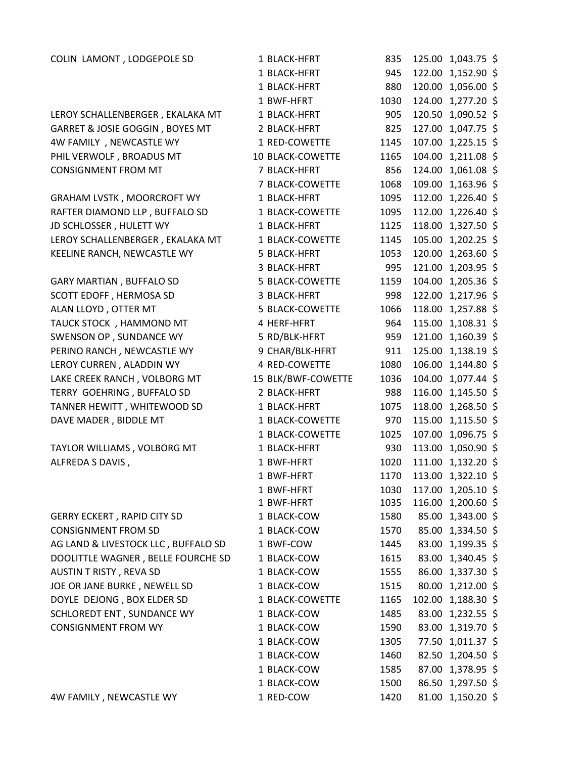| COLIN LAMONT, LODGEPOLE SD          | 1 BLACK-HFRT       | 835  | 125.00 1,043.75 \$ |  |
|-------------------------------------|--------------------|------|--------------------|--|
|                                     | 1 BLACK-HFRT       | 945  | 122.00 1,152.90 \$ |  |
|                                     | 1 BLACK-HFRT       | 880  | 120.00 1,056.00 \$ |  |
|                                     | 1 BWF-HFRT         | 1030 | 124.00 1,277.20 \$ |  |
| LEROY SCHALLENBERGER, EKALAKA MT    | 1 BLACK-HFRT       | 905  | 120.50 1,090.52 \$ |  |
| GARRET & JOSIE GOGGIN, BOYES MT     | 2 BLACK-HFRT       | 825  | 127.00 1,047.75 \$ |  |
| 4W FAMILY, NEWCASTLE WY             | 1 RED-COWETTE      | 1145 | 107.00 1,225.15 \$ |  |
| PHIL VERWOLF, BROADUS MT            | 10 BLACK-COWETTE   | 1165 | 104.00 1,211.08 \$ |  |
| <b>CONSIGNMENT FROM MT</b>          | 7 BLACK-HFRT       | 856  | 124.00 1,061.08 \$ |  |
|                                     | 7 BLACK-COWETTE    | 1068 | 109.00 1,163.96 \$ |  |
| <b>GRAHAM LVSTK, MOORCROFT WY</b>   | 1 BLACK-HFRT       | 1095 | 112.00 1,226.40 \$ |  |
| RAFTER DIAMOND LLP, BUFFALO SD      | 1 BLACK-COWETTE    | 1095 | 112.00 1,226.40 \$ |  |
| JD SCHLOSSER, HULETT WY             | 1 BLACK-HFRT       | 1125 | 118.00 1,327.50 \$ |  |
| LEROY SCHALLENBERGER, EKALAKA MT    | 1 BLACK-COWETTE    | 1145 | 105.00 1,202.25 \$ |  |
| KEELINE RANCH, NEWCASTLE WY         | 5 BLACK-HFRT       | 1053 | 120.00 1,263.60 \$ |  |
|                                     | 3 BLACK-HFRT       | 995  | 121.00 1,203.95 \$ |  |
| <b>GARY MARTIAN, BUFFALO SD</b>     | 5 BLACK-COWETTE    | 1159 | 104.00 1,205.36 \$ |  |
| SCOTT EDOFF, HERMOSA SD             | 3 BLACK-HFRT       | 998  | 122.00 1,217.96 \$ |  |
| ALAN LLOYD, OTTER MT                | 5 BLACK-COWETTE    | 1066 | 118.00 1,257.88 \$ |  |
| TAUCK STOCK, HAMMOND MT             | 4 HERF-HFRT        | 964  | 115.00 1,108.31 \$ |  |
| SWENSON OP, SUNDANCE WY             | 5 RD/BLK-HFRT      | 959  | 121.00 1,160.39 \$ |  |
| PERINO RANCH, NEWCASTLE WY          | 9 CHAR/BLK-HFRT    | 911  | 125.00 1,138.19 \$ |  |
| LEROY CURREN, ALADDIN WY            | 4 RED-COWETTE      | 1080 | 106.00 1,144.80 \$ |  |
| LAKE CREEK RANCH, VOLBORG MT        | 15 BLK/BWF-COWETTE | 1036 | 104.00 1,077.44 \$ |  |
| TERRY GOEHRING, BUFFALO SD          | 2 BLACK-HFRT       | 988  | 116.00 1,145.50 \$ |  |
| TANNER HEWITT, WHITEWOOD SD         | 1 BLACK-HFRT       | 1075 | 118.00 1,268.50 \$ |  |
| DAVE MADER, BIDDLE MT               | 1 BLACK-COWETTE    | 970  | 115.00 1,115.50 \$ |  |
|                                     | 1 BLACK-COWETTE    | 1025 | 107.00 1,096.75 \$ |  |
| TAYLOR WILLIAMS, VOLBORG MT         | 1 BLACK-HFRT       | 930  | 113.00 1,050.90 \$ |  |
| ALFREDA S DAVIS,                    | 1 BWF-HFRT         | 1020 | 111.00 1,132.20 \$ |  |
|                                     | 1 BWF-HFRT         | 1170 | 113.00 1,322.10 \$ |  |
|                                     | 1 BWF-HFRT         | 1030 | 117.00 1,205.10 \$ |  |
|                                     | 1 BWF-HFRT         | 1035 | 116.00 1,200.60 \$ |  |
| <b>GERRY ECKERT, RAPID CITY SD</b>  | 1 BLACK-COW        | 1580 | 85.00 1,343.00 \$  |  |
| <b>CONSIGNMENT FROM SD</b>          | 1 BLACK-COW        | 1570 | 85.00 1,334.50 \$  |  |
| AG LAND & LIVESTOCK LLC, BUFFALO SD | 1 BWF-COW          | 1445 | 83.00 1,199.35 \$  |  |
| DOOLITTLE WAGNER, BELLE FOURCHE SD  | 1 BLACK-COW        | 1615 | 83.00 1,340.45 \$  |  |
| AUSTIN T RISTY, REVA SD             | 1 BLACK-COW        | 1555 | 86.00 1,337.30 \$  |  |
| JOE OR JANE BURKE, NEWELL SD        | 1 BLACK-COW        | 1515 | 80.00 1,212.00 \$  |  |
| DOYLE DEJONG, BOX ELDER SD          | 1 BLACK-COWETTE    | 1165 | 102.00 1,188.30 \$ |  |
| SCHLOREDT ENT, SUNDANCE WY          | 1 BLACK-COW        | 1485 | 83.00 1,232.55 \$  |  |
| <b>CONSIGNMENT FROM WY</b>          | 1 BLACK-COW        | 1590 | 83.00 1,319.70 \$  |  |
|                                     | 1 BLACK-COW        | 1305 | 77.50 1,011.37 \$  |  |
|                                     | 1 BLACK-COW        | 1460 | 82.50 1,204.50 \$  |  |
|                                     | 1 BLACK-COW        | 1585 | 87.00 1,378.95 \$  |  |
|                                     | 1 BLACK-COW        | 1500 | 86.50 1,297.50 \$  |  |

4W FAMILY , NEWCASTLE WY 1RED-COW 1420 81.00 1,150.20 \$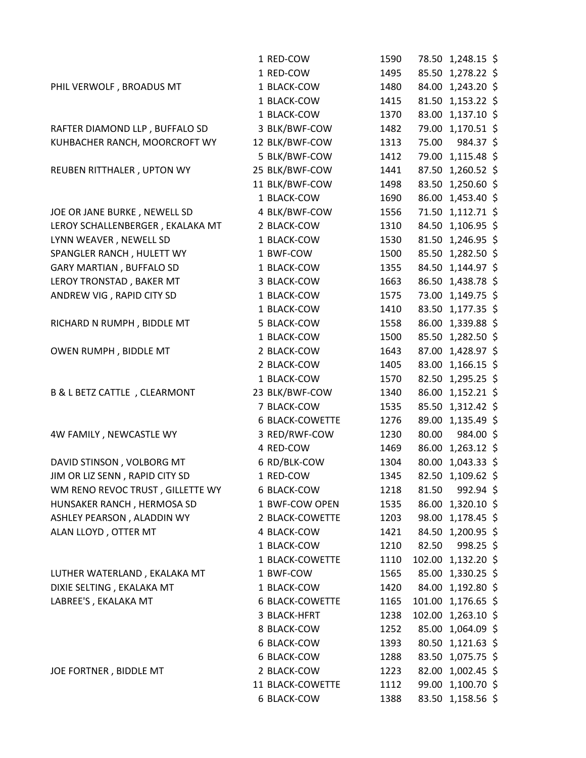|                                  | 1 RED-COW              | 1590 |       | 78.50 1,248.15 \$  |
|----------------------------------|------------------------|------|-------|--------------------|
|                                  | 1 RED-COW              | 1495 |       | 85.50 1,278.22 \$  |
| PHIL VERWOLF, BROADUS MT         | 1 BLACK-COW            | 1480 |       | 84.00 1,243.20 \$  |
|                                  | 1 BLACK-COW            | 1415 |       | 81.50 1,153.22 \$  |
|                                  | 1 BLACK-COW            | 1370 |       | 83.00 1,137.10 \$  |
| RAFTER DIAMOND LLP, BUFFALO SD   | 3 BLK/BWF-COW          | 1482 |       | 79.00 1,170.51 \$  |
| KUHBACHER RANCH, MOORCROFT WY    | 12 BLK/BWF-COW         | 1313 | 75.00 | 984.37 \$          |
|                                  | 5 BLK/BWF-COW          | 1412 |       | 79.00 1,115.48 \$  |
| REUBEN RITTHALER, UPTON WY       | 25 BLK/BWF-COW         | 1441 |       | 87.50 1,260.52 \$  |
|                                  | 11 BLK/BWF-COW         | 1498 |       | 83.50 1,250.60 \$  |
|                                  | 1 BLACK-COW            | 1690 |       | 86.00 1,453.40 \$  |
| JOE OR JANE BURKE, NEWELL SD     | 4 BLK/BWF-COW          | 1556 |       | 71.50 1,112.71 \$  |
| LEROY SCHALLENBERGER, EKALAKA MT | 2 BLACK-COW            | 1310 |       | 84.50 1,106.95 \$  |
| LYNN WEAVER, NEWELL SD           | 1 BLACK-COW            | 1530 |       | 81.50 1,246.95 \$  |
| SPANGLER RANCH, HULETT WY        | 1 BWF-COW              | 1500 |       | 85.50 1,282.50 \$  |
| <b>GARY MARTIAN, BUFFALO SD</b>  | 1 BLACK-COW            | 1355 |       | 84.50 1,144.97 \$  |
| LEROY TRONSTAD, BAKER MT         | 3 BLACK-COW            | 1663 |       | 86.50 1,438.78 \$  |
| ANDREW VIG, RAPID CITY SD        | 1 BLACK-COW            | 1575 |       | 73.00 1,149.75 \$  |
|                                  | 1 BLACK-COW            | 1410 |       | 83.50 1,177.35 \$  |
| RICHARD N RUMPH, BIDDLE MT       | 5 BLACK-COW            | 1558 |       | 86.00 1,339.88 \$  |
|                                  | 1 BLACK-COW            | 1500 |       | 85.50 1,282.50 \$  |
| OWEN RUMPH, BIDDLE MT            | 2 BLACK-COW            | 1643 |       | 87.00 1,428.97 \$  |
|                                  | 2 BLACK-COW            | 1405 |       | 83.00 1,166.15 \$  |
|                                  | 1 BLACK-COW            | 1570 |       | 82.50 1,295.25 \$  |
| B & L BETZ CATTLE, CLEARMONT     | 23 BLK/BWF-COW         | 1340 |       | 86.00 1,152.21 \$  |
|                                  | 7 BLACK-COW            | 1535 |       | 85.50 1,312.42 \$  |
|                                  | 6 BLACK-COWETTE        | 1276 |       | 89.00 1,135.49 \$  |
| 4W FAMILY, NEWCASTLE WY          | 3 RED/RWF-COW          | 1230 | 80.00 | 984.00 \$          |
|                                  | 4 RED-COW              | 1469 |       | 86.00 1,263.12 \$  |
| DAVID STINSON, VOLBORG MT        | 6 RD/BLK-COW           | 1304 |       | 80.00 1,043.33 \$  |
| JIM OR LIZ SENN, RAPID CITY SD   | 1 RED-COW              | 1345 |       | 82.50 1,109.62 \$  |
| WM RENO REVOC TRUST, GILLETTE WY | 6 BLACK-COW            | 1218 | 81.50 | 992.94 \$          |
| HUNSAKER RANCH, HERMOSA SD       | 1 BWF-COW OPEN         | 1535 |       | 86.00 1,320.10 \$  |
| ASHLEY PEARSON, ALADDIN WY       | 2 BLACK-COWETTE        | 1203 |       | 98.00 1,178.45 \$  |
| ALAN LLOYD, OTTER MT             | 4 BLACK-COW            | 1421 |       | 84.50 1,200.95 \$  |
|                                  | 1 BLACK-COW            | 1210 | 82.50 | 998.25 \$          |
|                                  | 1 BLACK-COWETTE        | 1110 |       | 102.00 1,132.20 \$ |
| LUTHER WATERLAND, EKALAKA MT     | 1 BWF-COW              | 1565 |       | 85.00 1,330.25 \$  |
| DIXIE SELTING, EKALAKA MT        | 1 BLACK-COW            | 1420 |       | 84.00 1,192.80 \$  |
| LABREE'S, EKALAKA MT             | <b>6 BLACK-COWETTE</b> | 1165 |       | 101.00 1,176.65 \$ |
|                                  | 3 BLACK-HFRT           | 1238 |       | 102.00 1,263.10 \$ |
|                                  | 8 BLACK-COW            | 1252 |       | 85.00 1,064.09 \$  |
|                                  | 6 BLACK-COW            | 1393 |       | 80.50 1,121.63 \$  |
|                                  | 6 BLACK-COW            | 1288 |       | 83.50 1,075.75 \$  |
| JOE FORTNER, BIDDLE MT           | 2 BLACK-COW            | 1223 |       | 82.00 1,002.45 \$  |
|                                  | 11 BLACK-COWETTE       | 1112 |       | 99.00 1,100.70 \$  |
|                                  | 6 BLACK-COW            | 1388 |       | 83.50 1,158.56 \$  |